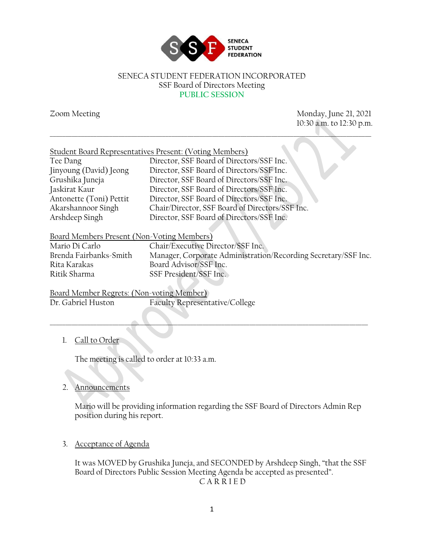

#### SENECA STUDENT FEDERATION INCORPORATED SSF Board of Directors Meeting **PUBLIC SESSION**

\_\_\_\_\_\_\_\_\_\_\_\_\_\_\_\_\_\_\_\_\_\_\_\_\_\_\_\_\_\_\_\_\_\_\_\_\_\_\_\_\_\_\_\_\_\_\_\_\_\_\_\_\_\_\_\_\_\_\_\_\_\_\_\_\_\_\_\_\_\_\_\_\_\_\_\_\_\_\_\_\_\_\_\_\_\_\_\_\_\_\_\_\_\_\_\_\_\_\_\_\_\_\_

Zoom Meeting Monday, June 21, 2021 10:30 a.m. to 12:30 p.m.

| Tee Dang                | Director, SSF Board of Directors/SSF Inc.       |
|-------------------------|-------------------------------------------------|
| Jinyoung (David) Jeong  | Director, SSF Board of Directors/SSF Inc.       |
| Grushika Juneja         | Director, SSF Board of Directors/SSF Inc.       |
| Jaskirat Kaur           | Director, SSF Board of Directors/SSF Inc.       |
| Antonette (Toni) Pettit | Director, SSF Board of Directors/SSF Inc.       |
| Akarshannoor Singh      | Chair/Director, SSF Board of Directors/SSF Inc. |
| Arshdeep Singh          | Director, SSF Board of Directors/SSF Inc.       |

 $\blacksquare$ 

#### Board Members Present (Non-Voting Members)

Rita Karakas Board Advisor/SSF Inc. Ritik Sharma SSF President/SSF Inc.

Mario Di Carlo Chair/Executive Director/SSF Inc.<br>Brenda Fairbanks-Smith Manager, Corporate Administration Manager, Corporate Administration/Recording Secretary/SSF Inc.

Board Member Regrets: (Non-voting Member) Dr. Gabriel Huston Faculty Representative/College

# 1. Call to Order

The meeting is called to order at 10:33 a.m.

## 2. Announcements

Mario will be providing information regarding the SSF Board of Directors Admin Rep position during his report.

## 3. Acceptance of Agenda

It was MOVED by Grushika Juneja, and SECONDED by Arshdeep Singh, "that the SSF Board of Directors Public Session Meeting Agenda be accepted as presented". C A R R I E D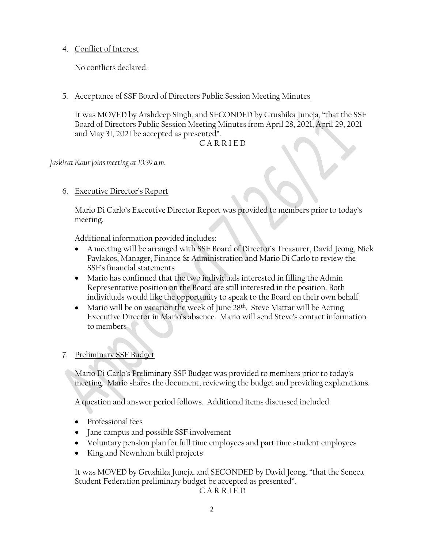4. Conflict of Interest

No conflicts declared.

5. Acceptance of SSF Board of Directors Public Session Meeting Minutes

It was MOVED by Arshdeep Singh, and SECONDED by Grushika Juneja, "that the SSF Board of Directors Public Session Meeting Minutes from April 28, 2021, April 29, 2021 and May 31, 2021 be accepted as presented".

C A R R I E D

*Jaskirat Kaur joins meeting at 10:39 a.m.*

6. Executive Director's Report

Mario Di Carlo's Executive Director Report was provided to members prior to today's meeting.

Additional information provided includes:

- A meeting will be arranged with SSF Board of Director's Treasurer, David Jeong, Nick Pavlakos, Manager, Finance & Administration and Mario Di Carlo to review the SSF's financial statements
- Mario has confirmed that the two individuals interested in filling the Admin Representative position on the Board are still interested in the position. Both individuals would like the opportunity to speak to the Board on their own behalf
- Mario will be on vacation the week of June  $28<sup>th</sup>$ . Steve Mattar will be Acting Executive Director in Mario's absence. Mario will send Steve's contact information to members

## 7. Preliminary SSF Budget

Mario Di Carlo's Preliminary SSF Budget was provided to members prior to today's meeting. Mario shares the document, reviewing the budget and providing explanations.

A question and answer period follows. Additional items discussed included:

- Professional fees
- Jane campus and possible SSF involvement
- Voluntary pension plan for full time employees and part time student employees
- King and Newnham build projects

It was MOVED by Grushika Juneja, and SECONDED by David Jeong, "that the Seneca Student Federation preliminary budget be accepted as presented".

C A R R I E D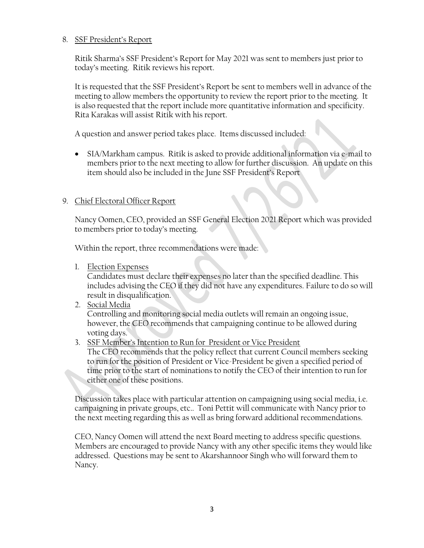#### 8. SSF President's Report

Ritik Sharma's SSF President's Report for May 2021 was sent to members just prior to today's meeting. Ritik reviews his report.

It is requested that the SSF President's Report be sent to members well in advance of the meeting to allow members the opportunity to review the report prior to the meeting. It is also requested that the report include more quantitative information and specificity. Rita Karakas will assist Ritik with his report.

A question and answer period takes place. Items discussed included:

• SIA/Markham campus. Ritik is asked to provide additional information via e-mail to members prior to the next meeting to allow for further discussion. An update on this item should also be included in the June SSF President's Report

## 9. Chief Electoral Officer Report

Nancy Oomen, CEO, provided an SSF General Election 2021 Report which was provided to members prior to today's meeting.

Within the report, three recommendations were made:

1. Election Expenses

Candidates must declare their expenses no later than the specified deadline. This includes advising the CEO if they did not have any expenditures. Failure to do so will result in disqualification.

- 2. Social Media Controlling and monitoring social media outlets will remain an ongoing issue, however, the CEO recommends that campaigning continue to be allowed during voting days.
- 3. SSF Member's Intention to Run for President or Vice President

The CEO recommends that the policy reflect that current Council members seeking to run for the position of President or Vice-President be given a specified period of time prior to the start of nominations to notify the CEO of their intention to run for either one of these positions.

Discussion takes place with particular attention on campaigning using social media, i.e. campaigning in private groups, etc.. Toni Pettit will communicate with Nancy prior to the next meeting regarding this as well as bring forward additional recommendations.

CEO, Nancy Oomen will attend the next Board meeting to address specific questions. Members are encouraged to provide Nancy with any other specific items they would like addressed. Questions may be sent to Akarshannoor Singh who will forward them to Nancy.